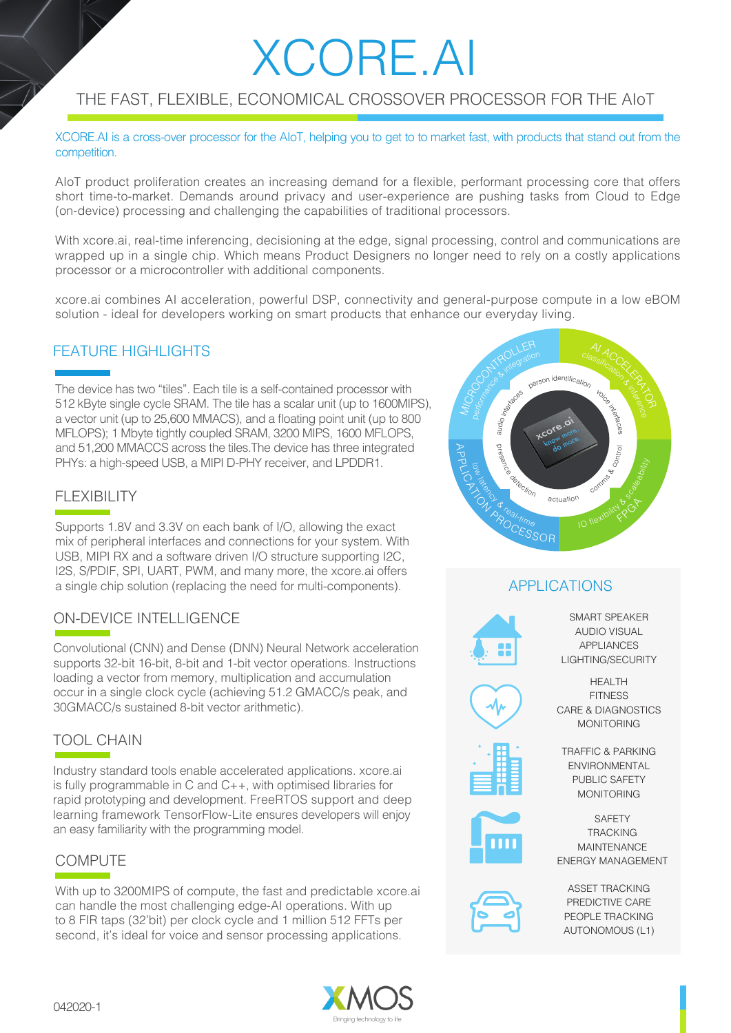# XCORE.AI

## THE FAST, FLEXIBLE, ECONOMICAL CROSSOVER PROCESSOR FOR THE AIoT

XCORE.AI is a cross-over processor for the AIoT, helping you to get to to market fast, with products that stand out from the competition.

AIoT product proliferation creates an increasing demand for a flexible, performant processing core that offers short time-to-market. Demands around privacy and user-experience are pushing tasks from Cloud to Edge (on-device) processing and challenging the capabilities of traditional processors.

With xcore.ai, real-time inferencing, decisioning at the edge, signal processing, control and communications are wrapped up in a single chip. Which means Product Designers no longer need to rely on a costly applications processor or a microcontroller with additional components.

xcore.ai combines AI acceleration, powerful DSP, connectivity and general-purpose compute in a low eBOM solution - ideal for developers working on smart products that enhance our everyday living.

#### FEATURE HIGHLIGHTS

The device has two "tiles". Each tile is a self-contained processor with 512 kByte single cycle SRAM. The tile has a scalar unit (up to 1600MIPS), a vector unit (up to 25,600 MMACS), and a floating point unit (up to 800 MFLOPS); 1 Mbyte tightly coupled SRAM, 3200 MIPS, 1600 MFLOPS, and 51,200 MMACCS across the tiles.The device has three integrated PHYs: a high-speed USB, a MIPI D-PHY receiver, and LPDDR1.

## FLEXIBILITY

Supports 1.8V and 3.3V on each bank of I/O, allowing the exact mix of peripheral interfaces and connections for your system. With USB, MIPI RX and a software driven I/O structure supporting I2C, I2S, S/PDIF, SPI, UART, PWM, and many more, the xcore.ai offers a single chip solution (replacing the need for multi-components).

## ON-DEVICE INTELLIGENCE

Convolutional (CNN) and Dense (DNN) Neural Network acceleration supports 32-bit 16-bit, 8-bit and 1-bit vector operations. Instructions loading a vector from memory, multiplication and accumulation occur in a single clock cycle (achieving 51.2 GMACC/s peak, and 30GMACC/s sustained 8-bit vector arithmetic).

## TOOL CHAIN

Industry standard tools enable accelerated applications. xcore.ai is fully programmable in C and C++, with optimised libraries for rapid prototyping and development. FreeRTOS support and deep learning framework TensorFlow-Lite ensures developers will enjoy an easy familiarity with the programming model.

#### **COMPUTE**

With up to 3200MIPS of compute, the fast and predictable xcore.ai can handle the most challenging edge-AI operations. With up to 8 FIR taps (32'bit) per clock cycle and 1 million 512 FFTs per second, it's ideal for voice and sensor processing applications.



## APPLICATIONS



SMART SPEAKER AUDIO VISUAL APPLIANCES LIGHTING/SECURITY

HEALTH **FITNESS** CARE & DIAGNOSTICS MONITORING

TRAFFIC & PARKING ENVIRONMENTAL PUBLIC SAFETY MONITORING



**SAFFTY TRACKING** MAINTENANCE ENERGY MANAGEMENT



ASSET TRACKING PREDICTIVE CARE PEOPLE TRACKING AUTONOMOUS (L1)